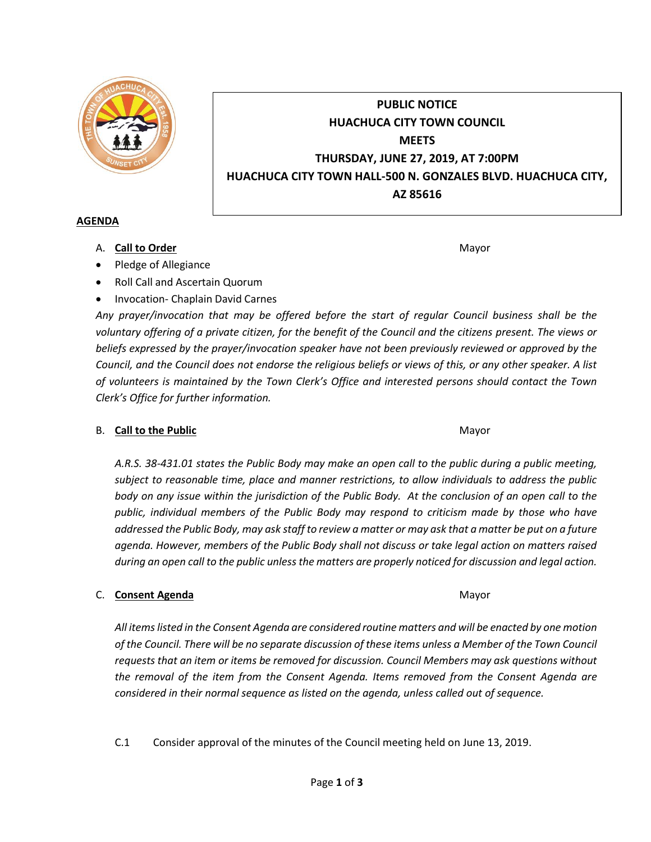

# **PUBLIC NOTICE HUACHUCA CITY TOWN COUNCIL MEETS THURSDAY, JUNE 27, 2019, AT 7:00PM HUACHUCA CITY TOWN HALL-500 N. GONZALES BLVD. HUACHUCA CITY, AZ 85616**

### **AGENDA**

A. **Call to Order** Mayor **Mayor** Mayor **Mayor** Mayor **Mayor** 

• Pledge of Allegiance

- Roll Call and Ascertain Quorum
- Invocation- Chaplain David Carnes

*Any prayer/invocation that may be offered before the start of regular Council business shall be the voluntary offering of a private citizen, for the benefit of the Council and the citizens present. The views or beliefs expressed by the prayer/invocation speaker have not been previously reviewed or approved by the Council, and the Council does not endorse the religious beliefs or views of this, or any other speaker. A list of volunteers is maintained by the Town Clerk's Office and interested persons should contact the Town Clerk's Office for further information.*

## B. **Call to the Public** Mayor **Mayor** Mayor **Mayor** Mayor

*A.R.S. 38-431.01 states the Public Body may make an open call to the public during a public meeting, subject to reasonable time, place and manner restrictions, to allow individuals to address the public body on any issue within the jurisdiction of the Public Body. At the conclusion of an open call to the public, individual members of the Public Body may respond to criticism made by those who have addressed the Public Body, may ask staff to review a matter or may ask that a matter be put on a future agenda. However, members of the Public Body shall not discuss or take legal action on matters raised during an open call to the public unless the matters are properly noticed for discussion and legal action.*

## C. **Consent Agenda** Mayor **C. Consent Agenda** Mayor **Mayor**

*All items listed in the Consent Agenda are considered routine matters and will be enacted by one motion of the Council. There will be no separate discussion of these items unless a Member of the Town Council requests that an item or items be removed for discussion. Council Members may ask questions without the removal of the item from the Consent Agenda. Items removed from the Consent Agenda are considered in their normal sequence as listed on the agenda, unless called out of sequence.*

C.1 Consider approval of the minutes of the Council meeting held on June 13, 2019.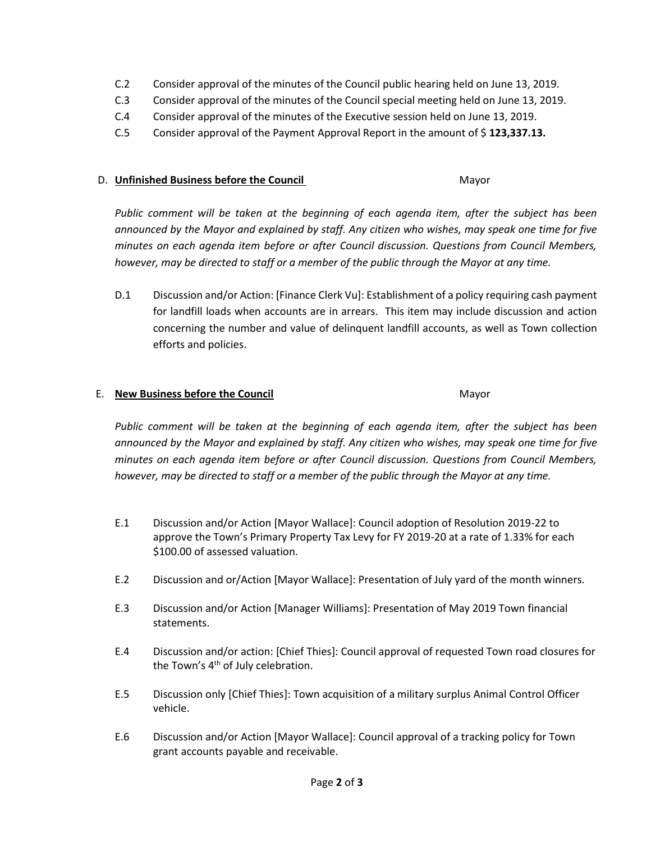- C.2 Consider approval of the minutes of the Council public hearing held on June 13, 2019.
- C.3 Consider approval of the minutes of the Council special meeting held on June 13, 2019.
- C.4 Consider approval of the minutes of the Executive session held on June 13, 2019.
- C.5 Consider approval of the Payment Approval Report in the amount of \$ **123,337.13.**

#### D. **Unfinished Business before the Council** Mayor

Public comment will be taken at the beginning of each agenda item, after the subject has been *announced by the Mayor and explained by staff. Any citizen who wishes, may speak one time for five minutes on each agenda item before or after Council discussion. Questions from Council Members, however, may be directed to staff or a member of the public through the Mayor at any time.*

D.1 Discussion and/or Action: [Finance Clerk Vu]: Establishment of a policy requiring cash payment for landfill loads when accounts are in arrears. This item may include discussion and action concerning the number and value of delinquent landfill accounts, as well as Town collection efforts and policies.

#### E. **New Business before the Council** Mayor

*Public comment will be taken at the beginning of each agenda item, after the subject has been announced by the Mayor and explained by staff. Any citizen who wishes, may speak one time for five minutes on each agenda item before or after Council discussion. Questions from Council Members, however, may be directed to staff or a member of the public through the Mayor at any time.*

- E.1 Discussion and/or Action [Mayor Wallace]: Council adoption of Resolution 2019-22 to approve the Town's Primary Property Tax Levy for FY 2019-20 at a rate of 1.33% for each \$100.00 of assessed valuation.
- E.2 Discussion and or/Action [Mayor Wallace]: Presentation of July yard of the month winners.
- E.3 Discussion and/or Action [Manager Williams]: Presentation of May 2019 Town financial statements.
- E.4 Discussion and/or action: [Chief Thies]: Council approval of requested Town road closures for the Town's 4<sup>th</sup> of July celebration.
- E.5 Discussion only [Chief Thies]: Town acquisition of a military surplus Animal Control Officer vehicle.
- E.6 Discussion and/or Action [Mayor Wallace]: Council approval of a tracking policy for Town grant accounts payable and receivable.